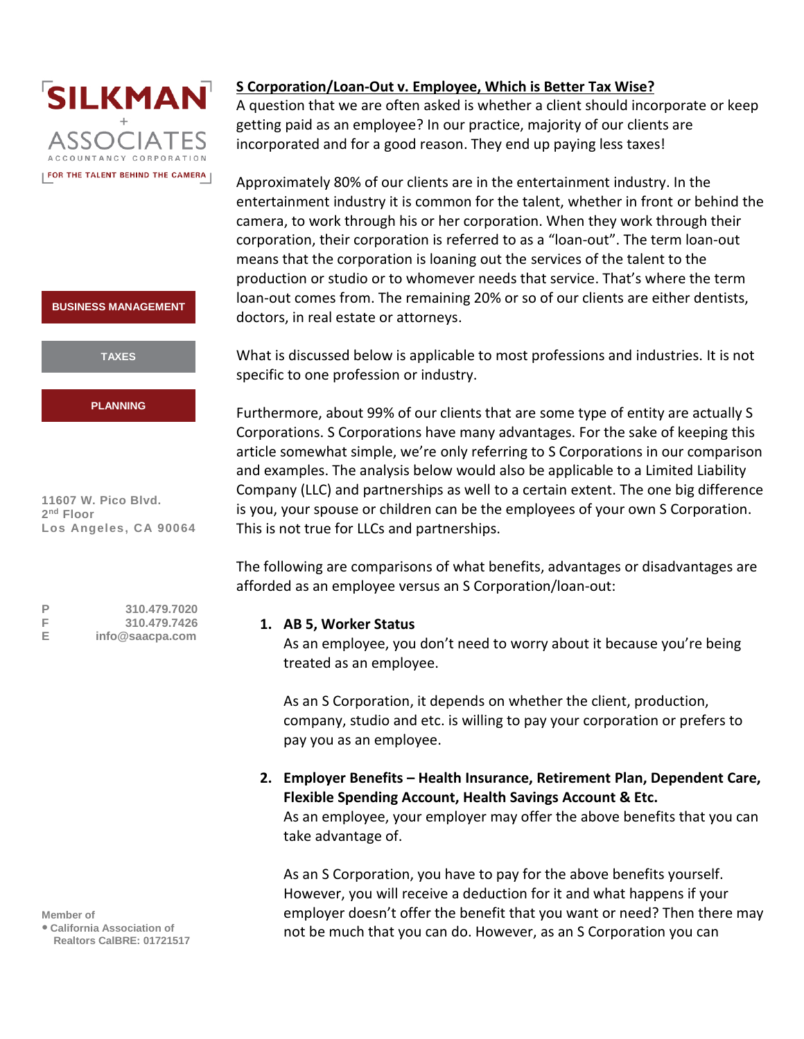



**11607 W. Pico Blvd. 2 nd Floor Los Angeles, CA 90064**

**P 310.479.7020 F 310.479.7426 E [info@saacpa.com](mailto:info@saacpa.com)**

**Member of**

**● California Association of Realtors CalBRE: 01721517**

# **S Corporation/Loan-Out v. Employee, Which is Better Tax Wise?**

A question that we are often asked is whether a client should incorporate or keep getting paid as an employee? In our practice, majority of our clients are incorporated and for a good reason. They end up paying less taxes!

Approximately 80% of our clients are in the entertainment industry. In the entertainment industry it is common for the talent, whether in front or behind the camera, to work through his or her corporation. When they work through their corporation, their corporation is referred to as a "loan-out". The term loan-out means that the corporation is loaning out the services of the talent to the production or studio or to whomever needs that service. That's where the term loan-out comes from. The remaining 20% or so of our clients are either dentists, doctors, in real estate or attorneys.

What is discussed below is applicable to most professions and industries. It is not specific to one profession or industry.

Furthermore, about 99% of our clients that are some type of entity are actually S Corporations. S Corporations have many advantages. For the sake of keeping this article somewhat simple, we're only referring to S Corporations in our comparison and examples. The analysis below would also be applicable to a Limited Liability Company (LLC) and partnerships as well to a certain extent. The one big difference is you, your spouse or children can be the employees of your own S Corporation. This is not true for LLCs and partnerships.

The following are comparisons of what benefits, advantages or disadvantages are afforded as an employee versus an S Corporation/loan-out:

## **1. AB 5, Worker Status**

As an employee, you don't need to worry about it because you're being treated as an employee.

As an S Corporation, it depends on whether the client, production, company, studio and etc. is willing to pay your corporation or prefers to pay you as an employee.

**2. Employer Benefits – Health Insurance, Retirement Plan, Dependent Care, Flexible Spending Account, Health Savings Account & Etc.** As an employee, your employer may offer the above benefits that you can take advantage of.

As an S Corporation, you have to pay for the above benefits yourself. However, you will receive a deduction for it and what happens if your employer doesn't offer the benefit that you want or need? Then there may not be much that you can do. However, as an S Corporation you can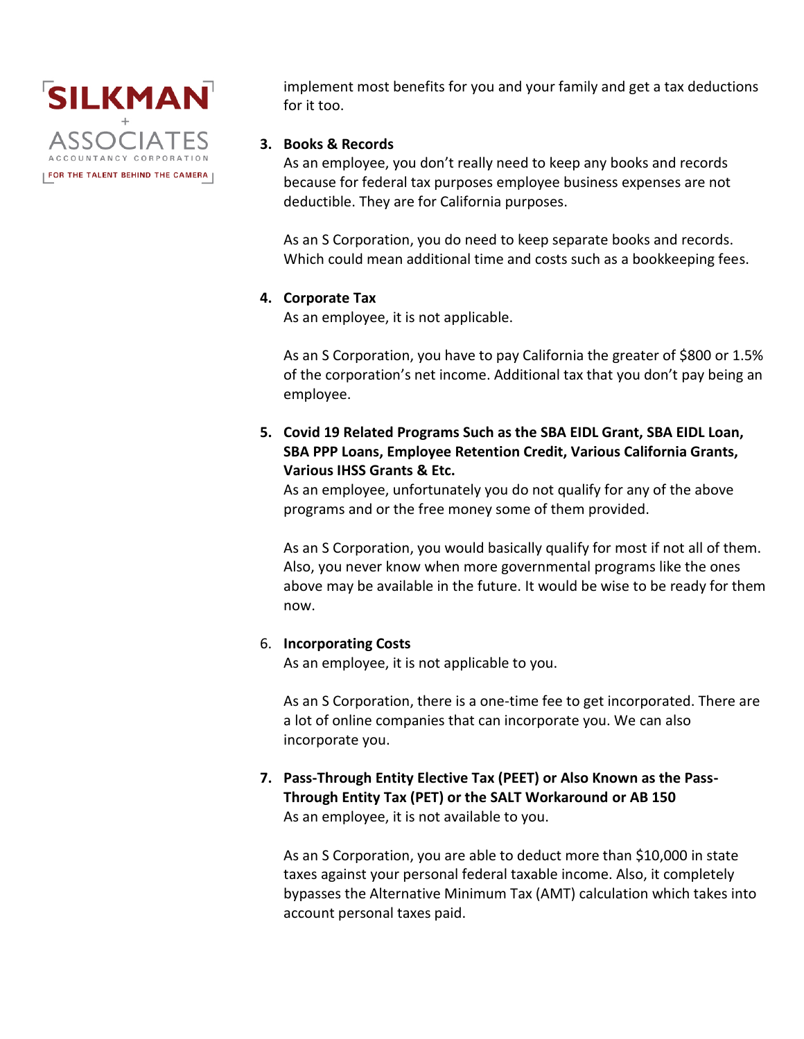

implement most benefits for you and your family and get a tax deductions for it too.

## **3. Books & Records**

As an employee, you don't really need to keep any books and records because for federal tax purposes employee business expenses are not deductible. They are for California purposes.

As an S Corporation, you do need to keep separate books and records. Which could mean additional time and costs such as a bookkeeping fees.

## **4. Corporate Tax**

As an employee, it is not applicable.

As an S Corporation, you have to pay California the greater of \$800 or 1.5% of the corporation's net income. Additional tax that you don't pay being an employee.

**5. Covid 19 Related Programs Such as the SBA EIDL Grant, SBA EIDL Loan, SBA PPP Loans, Employee Retention Credit, Various California Grants, Various IHSS Grants & Etc.** 

As an employee, unfortunately you do not qualify for any of the above programs and or the free money some of them provided.

As an S Corporation, you would basically qualify for most if not all of them. Also, you never know when more governmental programs like the ones above may be available in the future. It would be wise to be ready for them now.

## 6. **Incorporating Costs**

As an employee, it is not applicable to you.

As an S Corporation, there is a one-time fee to get incorporated. There are a lot of online companies that can incorporate you. We can also incorporate you.

**7. Pass-Through Entity Elective Tax (PEET) or Also Known as the Pass-Through Entity Tax (PET) or the SALT Workaround or AB 150** As an employee, it is not available to you.

As an S Corporation, you are able to deduct more than \$10,000 in state taxes against your personal federal taxable income. Also, it completely bypasses the Alternative Minimum Tax (AMT) calculation which takes into account personal taxes paid.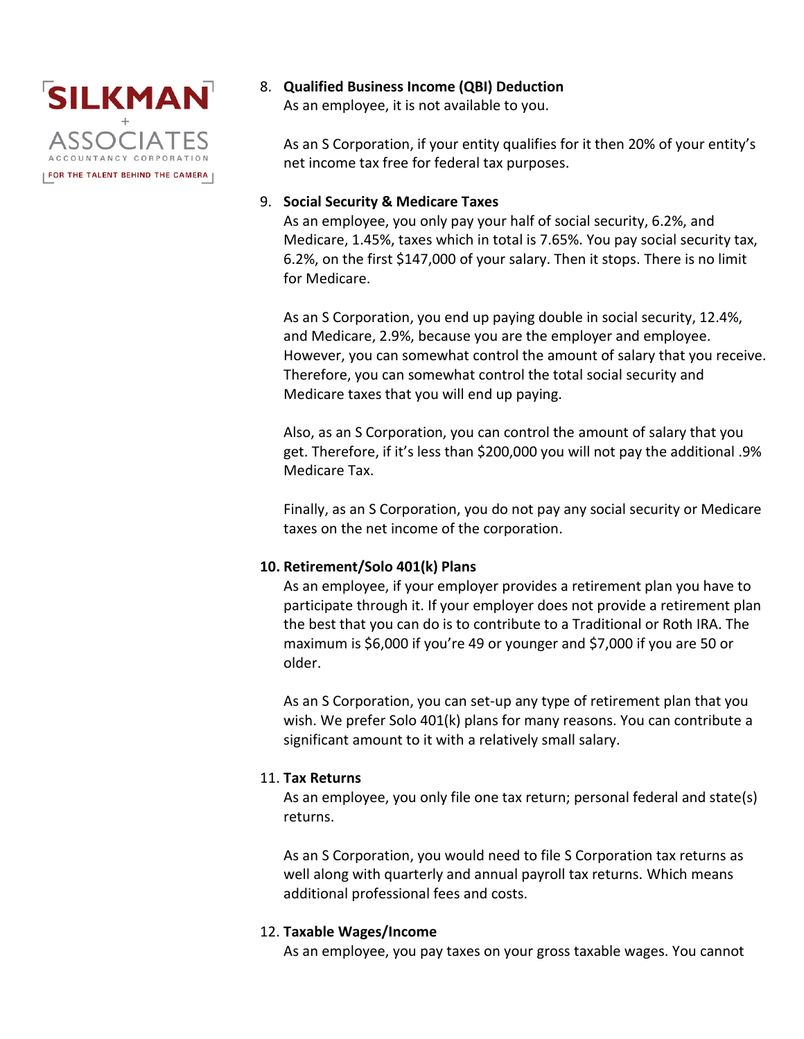

8. **Qualified Business Income (QBI) Deduction**

As an employee, it is not available to you.

As an S Corporation, if your entity qualifies for it then 20% of your entity's net income tax free for federal tax purposes.

### 9. **Social Security & Medicare Taxes**

As an employee, you only pay your half of social security, 6.2%, and Medicare, 1.45%, taxes which in total is 7.65%. You pay social security tax, 6.2%, on the first \$147,000 of your salary. Then it stops. There is no limit for Medicare.

As an S Corporation, you end up paying double in social security, 12.4%, and Medicare, 2.9%, because you are the employer and employee. However, you can somewhat control the amount of salary that you receive. Therefore, you can somewhat control the total social security and Medicare taxes that you will end up paying.

Also, as an S Corporation, you can control the amount of salary that you get. Therefore, if it's less than \$200,000 you will not pay the additional .9% Medicare Tax.

Finally, as an S Corporation, you do not pay any social security or Medicare taxes on the net income of the corporation.

## **10. Retirement/Solo 401(k) Plans**

As an employee, if your employer provides a retirement plan you have to participate through it. If your employer does not provide a retirement plan the best that you can do is to contribute to a Traditional or Roth IRA. The maximum is \$6,000 if you're 49 or younger and \$7,000 if you are 50 or older.

As an S Corporation, you can set-up any type of retirement plan that you wish. We prefer Solo 401(k) plans for many reasons. You can contribute a significant amount to it with a relatively small salary.

## 11. **Tax Returns**

As an employee, you only file one tax return; personal federal and state(s) returns.

As an S Corporation, you would need to file S Corporation tax returns as well along with quarterly and annual payroll tax returns. Which means additional professional fees and costs.

## 12. **Taxable Wages/Income**

As an employee, you pay taxes on your gross taxable wages. You cannot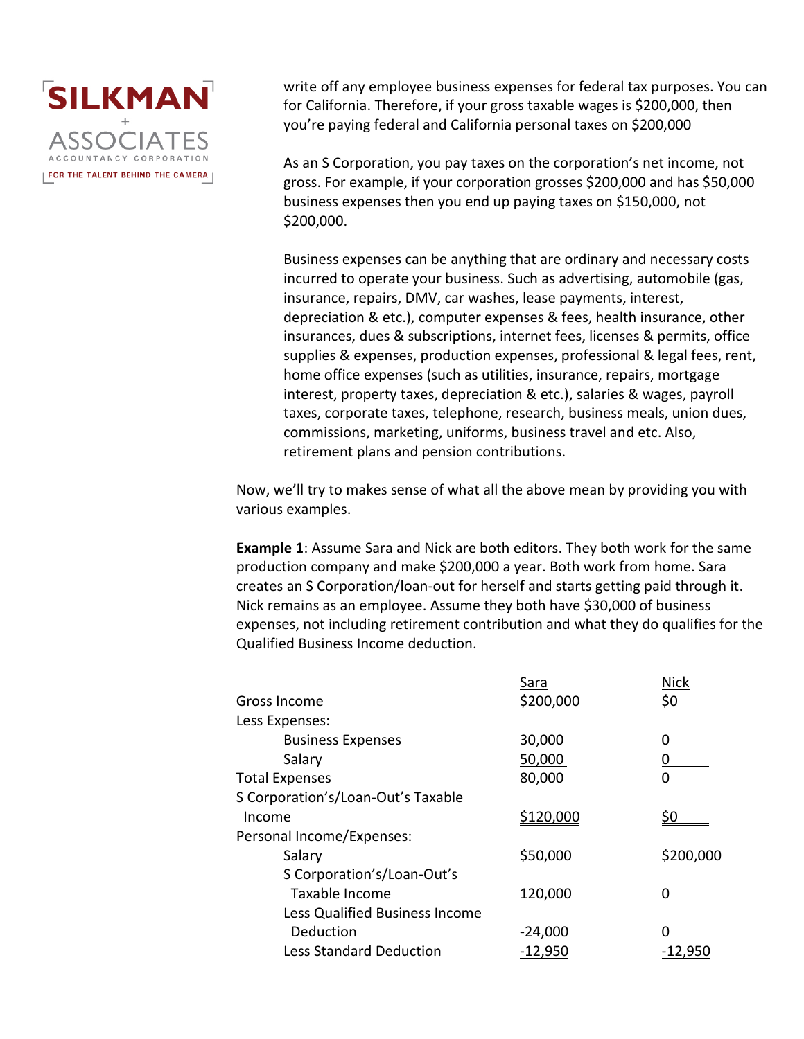

write off any employee business expenses for federal tax purposes. You can for California. Therefore, if your gross taxable wages is \$200,000, then you're paying federal and California personal taxes on \$200,000

As an S Corporation, you pay taxes on the corporation's net income, not gross. For example, if your corporation grosses \$200,000 and has \$50,000 business expenses then you end up paying taxes on \$150,000, not \$200,000.

Business expenses can be anything that are ordinary and necessary costs incurred to operate your business. Such as advertising, automobile (gas, insurance, repairs, DMV, car washes, lease payments, interest, depreciation & etc.), computer expenses & fees, health insurance, other insurances, dues & subscriptions, internet fees, licenses & permits, office supplies & expenses, production expenses, professional & legal fees, rent, home office expenses (such as utilities, insurance, repairs, mortgage interest, property taxes, depreciation & etc.), salaries & wages, payroll taxes, corporate taxes, telephone, research, business meals, union dues, commissions, marketing, uniforms, business travel and etc. Also, retirement plans and pension contributions.

Now, we'll try to makes sense of what all the above mean by providing you with various examples.

**Example 1**: Assume Sara and Nick are both editors. They both work for the same production company and make \$200,000 a year. Both work from home. Sara creates an S Corporation/loan-out for herself and starts getting paid through it. Nick remains as an employee. Assume they both have \$30,000 of business expenses, not including retirement contribution and what they do qualifies for the Qualified Business Income deduction.

|                                    | Sara      | <b>Nick</b> |
|------------------------------------|-----------|-------------|
| Gross Income                       | \$200,000 | \$0         |
| Less Expenses:                     |           |             |
| <b>Business Expenses</b>           | 30,000    | 0           |
| Salary                             | 50,000    |             |
| <b>Total Expenses</b>              | 80,000    | 0           |
| S Corporation's/Loan-Out's Taxable |           |             |
| Income                             | \$120,000 |             |
| Personal Income/Expenses:          |           |             |
| Salary                             | \$50,000  | \$200,000   |
| S Corporation's/Loan-Out's         |           |             |
| Taxable Income                     | 120,000   | 0           |
| Less Qualified Business Income     |           |             |
| Deduction                          | $-24,000$ | 0           |
| <b>Less Standard Deduction</b>     | $-12,950$ | -12,950     |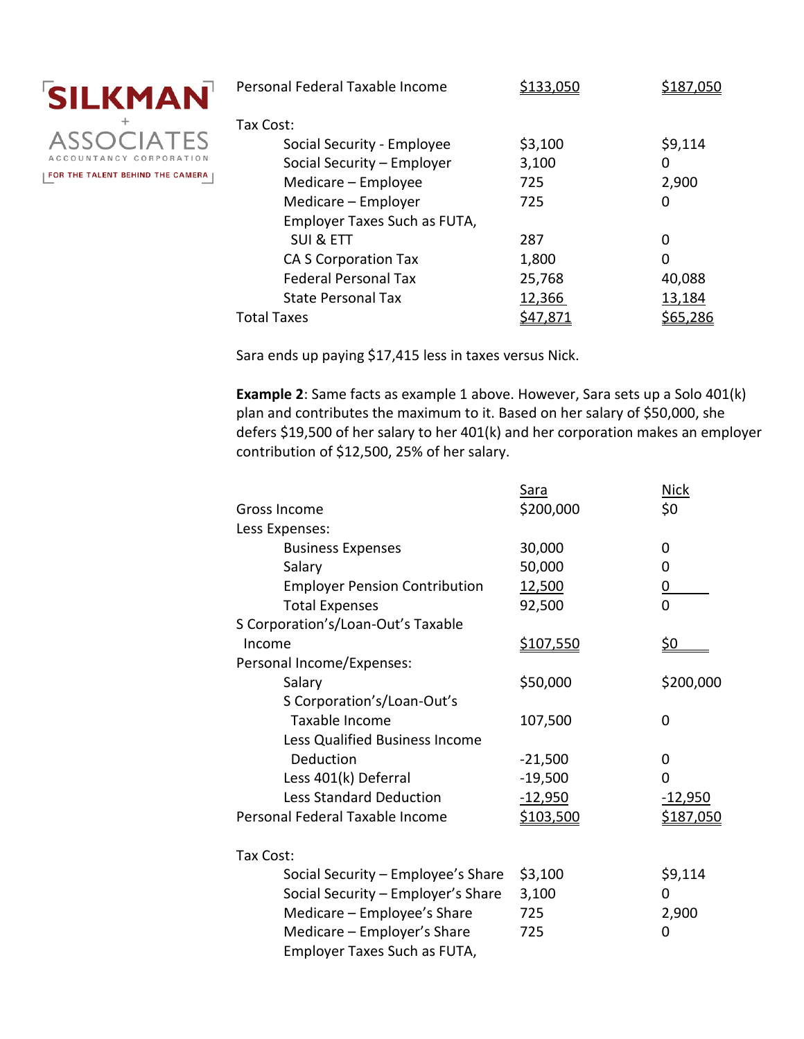

| Personal Federal Taxable Income |         |         |
|---------------------------------|---------|---------|
| Tax Cost:                       |         |         |
| Social Security - Employee      | \$3,100 | \$9,114 |
| Social Security - Employer      | 3,100   | 0       |
| Medicare - Employee             | 725     | 2,900   |
| Medicare - Employer             | 725     | 0       |
| Employer Taxes Such as FUTA,    |         |         |
| <b>SUI &amp; ETT</b>            | 287     | 0       |
| <b>CA S Corporation Tax</b>     | 1,800   | 0       |
| <b>Federal Personal Tax</b>     | 25,768  | 40,088  |
| <b>State Personal Tax</b>       | 12,366  | 13,184  |
| <b>Total Taxes</b>              |         |         |

Sara ends up paying \$17,415 less in taxes versus Nick.

**Example 2**: Same facts as example 1 above. However, Sara sets up a Solo 401(k) plan and contributes the maximum to it. Based on her salary of \$50,000, she defers \$19,500 of her salary to her 401(k) and her corporation makes an employer contribution of \$12,500, 25% of her salary.

|                                      | <u>Sara</u>      | <b>Nick</b>      |
|--------------------------------------|------------------|------------------|
| Gross Income                         | \$200,000        | \$0              |
| Less Expenses:                       |                  |                  |
| <b>Business Expenses</b>             | 30,000           | 0                |
| Salary                               | 50,000           | 0                |
| <b>Employer Pension Contribution</b> | 12,500           | <u>0</u>         |
| <b>Total Expenses</b>                | 92,500           | $\overline{0}$   |
| S Corporation's/Loan-Out's Taxable   |                  |                  |
| Income                               | <u>\$107,550</u> | <u>\$0</u>       |
| Personal Income/Expenses:            |                  |                  |
| Salary                               | \$50,000         | \$200,000        |
| S Corporation's/Loan-Out's           |                  |                  |
| Taxable Income                       | 107,500          | 0                |
| Less Qualified Business Income       |                  |                  |
| Deduction                            | $-21,500$        | 0                |
| Less 401(k) Deferral                 | $-19,500$        | 0                |
| <b>Less Standard Deduction</b>       | $-12,950$        | <u>-12,950</u>   |
| Personal Federal Taxable Income      | \$103,500        | <u>\$187,050</u> |
| Tax Cost:                            |                  |                  |
| Social Security - Employee's Share   | \$3,100          | \$9,114          |
| Social Security - Employer's Share   | 3,100            | 0                |
| Medicare - Employee's Share          | 725              | 2,900            |
| Medicare - Employer's Share          | 725              | 0                |
| Employer Taxes Such as FUTA,         |                  |                  |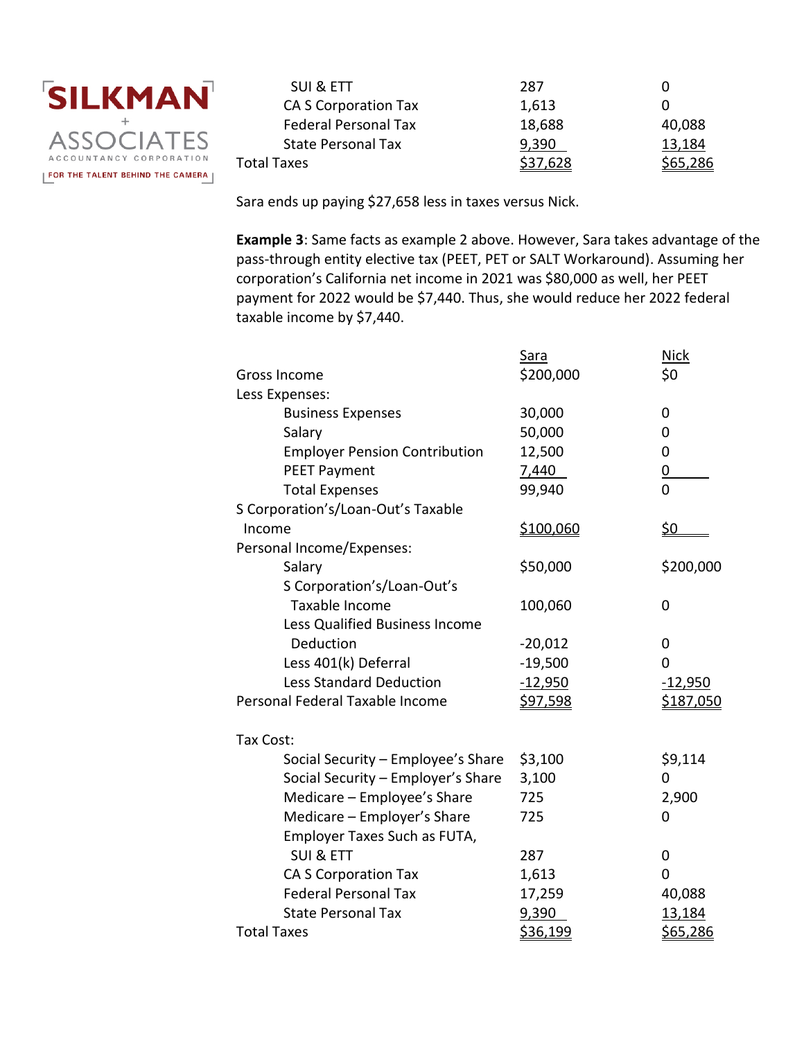

| SUI & ETT                   | 287      |          |
|-----------------------------|----------|----------|
| CA S Corporation Tax        | 1,613    |          |
| <b>Federal Personal Tax</b> | 18,688   | 40,088   |
| <b>State Personal Tax</b>   | 9,390    | 13,184   |
| Total Taxes                 | \$37,628 | \$65,286 |
|                             |          |          |

Sara ends up paying \$27,658 less in taxes versus Nick.

**Example 3**: Same facts as example 2 above. However, Sara takes advantage of the pass-through entity elective tax (PEET, PET or SALT Workaround). Assuming her corporation's California net income in 2021 was \$80,000 as well, her PEET payment for 2022 would be \$7,440. Thus, she would reduce her 2022 federal taxable income by \$7,440.

|                                      | <b>Sara</b>     | <b>Nick</b>     |
|--------------------------------------|-----------------|-----------------|
| <b>Gross Income</b>                  | \$200,000       | \$0             |
| Less Expenses:                       |                 |                 |
| <b>Business Expenses</b>             | 30,000          | 0               |
| Salary                               | 50,000          | 0               |
| <b>Employer Pension Contribution</b> | 12,500          | 0               |
| <b>PEET Payment</b>                  | 7,440           | $\overline{0}$  |
| <b>Total Expenses</b>                | 99,940          | 0               |
| S Corporation's/Loan-Out's Taxable   |                 |                 |
| Income                               | \$100,060       | <u>\$0</u>      |
| Personal Income/Expenses:            |                 |                 |
| Salary                               | \$50,000        | \$200,000       |
| S Corporation's/Loan-Out's           |                 |                 |
| Taxable Income                       | 100,060         | 0               |
| Less Qualified Business Income       |                 |                 |
| Deduction                            | $-20,012$       | 0               |
| Less 401(k) Deferral                 | $-19,500$       | 0               |
| <b>Less Standard Deduction</b>       | $-12,950$       | $-12,950$       |
| Personal Federal Taxable Income      | <u>\$97,598</u> | \$187,050       |
| Tax Cost:                            |                 |                 |
| Social Security - Employee's Share   | \$3,100         | \$9,114         |
| Social Security - Employer's Share   | 3,100           | 0               |
| Medicare - Employee's Share          | 725             | 2,900           |
| Medicare - Employer's Share          | 725             | 0               |
| Employer Taxes Such as FUTA,         |                 |                 |
| <b>SUI &amp; ETT</b>                 | 287             | 0               |
| <b>CA S Corporation Tax</b>          | 1,613           | 0               |
| <b>Federal Personal Tax</b>          | 17,259          | 40,088          |
| <b>State Personal Tax</b>            | 9,390           | 13,184          |
| <b>Total Taxes</b>                   | <u>\$36,199</u> | <u>\$65,286</u> |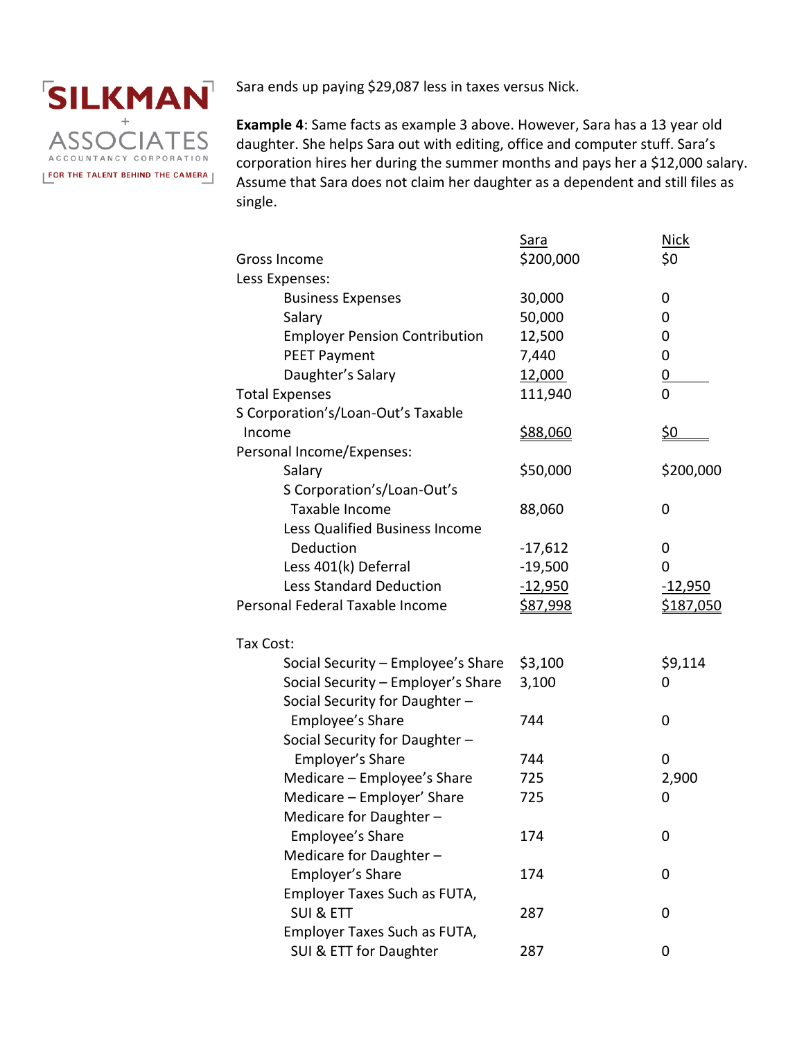

Sara ends up paying \$29,087 less in taxes versus Nick.

**Example 4**: Same facts as example 3 above. However, Sara has a 13 year old daughter. She helps Sara out with editing, office and computer stuff. Sara's corporation hires her during the summer months and pays her a \$12,000 salary. Assume that Sara does not claim her daughter as a dependent and still files as single.

|                                      | Sara            | <b>Nick</b>      |
|--------------------------------------|-----------------|------------------|
| Gross Income                         | \$200,000       | \$0              |
| Less Expenses:                       |                 |                  |
| <b>Business Expenses</b>             | 30,000          | 0                |
| Salary                               | 50,000          | 0                |
| <b>Employer Pension Contribution</b> | 12,500          | 0                |
| <b>PEET Payment</b>                  | 7,440           | 0                |
| Daughter's Salary                    | 12,000          | <u>0</u>         |
| <b>Total Expenses</b>                | 111,940         | $\overline{0}$   |
| S Corporation's/Loan-Out's Taxable   |                 |                  |
| Income                               | <u>\$88,060</u> | <u>\$0</u>       |
| Personal Income/Expenses:            |                 |                  |
| Salary                               | \$50,000        | \$200,000        |
| S Corporation's/Loan-Out's           |                 |                  |
| Taxable Income                       | 88,060          | 0                |
| Less Qualified Business Income       |                 |                  |
| Deduction                            | $-17,612$       | 0                |
| Less 401(k) Deferral                 | $-19,500$       | 0                |
| <b>Less Standard Deduction</b>       | $-12,950$       | $-12,950$        |
| Personal Federal Taxable Income      | <u>\$87,998</u> | <u>\$187,050</u> |
|                                      |                 |                  |
| Tax Cost:                            |                 |                  |
| Social Security - Employee's Share   | \$3,100         | \$9,114          |
| Social Security - Employer's Share   | 3,100           | 0                |
| Social Security for Daughter -       |                 |                  |
| Employee's Share                     | 744             | $\mathbf 0$      |
| Social Security for Daughter -       |                 |                  |
| Employer's Share                     | 744             | 0                |
| Medicare - Employee's Share          | 725             | 2,900            |
| Medicare - Employer' Share           | 725             | 0                |
| Medicare for Daughter -              |                 |                  |
| Employee's Share                     | 174             | 0                |
| Medicare for Daughter -              |                 |                  |
| Employer's Share                     | 174             | 0                |
| Employer Taxes Such as FUTA,         |                 |                  |
| <b>SUI &amp; ETT</b>                 | 287             | 0                |
| Employer Taxes Such as FUTA,         |                 |                  |
| SUI & ETT for Daughter               | 287             | 0                |